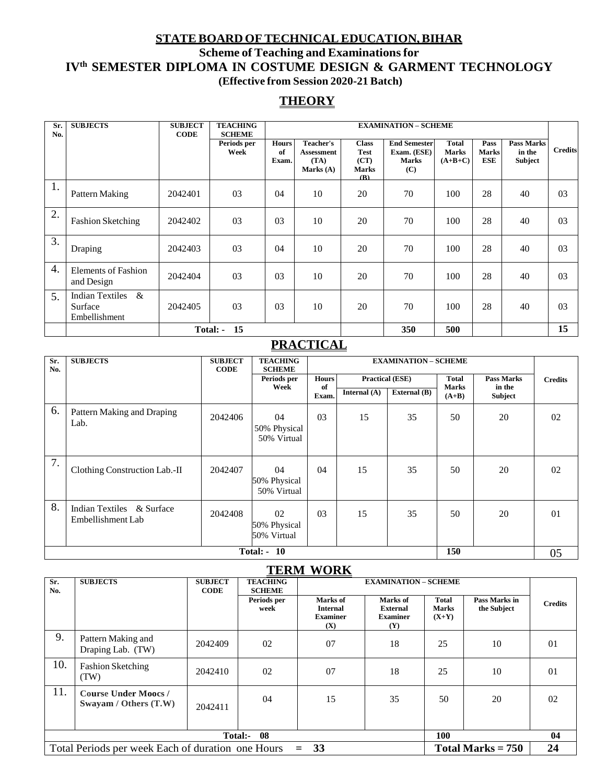## **STATEBOARD OFTECHNICALEDUCATION,BIHAR Scheme of Teaching and Examinationsfor IVth SEMESTER DIPLOMA IN COSTUME DESIGN & GARMENT TECHNOLOGY (Effective from Session 2020-21 Batch)**

### **THEORY**

| Sr.<br>No. | <b>SUBJECTS</b>                                         | <b>SUBJECT</b><br><b>CODE</b> | <b>TEACHING</b><br><b>SCHEME</b> |                             | <b>EXAMINATION - SCHEME</b>                                  |                                                            |                                                           |                                           |                                    |                                        |                |
|------------|---------------------------------------------------------|-------------------------------|----------------------------------|-----------------------------|--------------------------------------------------------------|------------------------------------------------------------|-----------------------------------------------------------|-------------------------------------------|------------------------------------|----------------------------------------|----------------|
|            |                                                         |                               | Periods per<br>Week              | <b>Hours</b><br>of<br>Exam. | <b>Teacher's</b><br><b>Assessment</b><br>(TA)<br>Marks $(A)$ | <b>Class</b><br><b>Test</b><br>(CT)<br><b>Marks</b><br>(R) | <b>End Semester</b><br>Exam. (ESE)<br><b>Marks</b><br>(C) | <b>Total</b><br><b>Marks</b><br>$(A+B+C)$ | Pass<br><b>Marks</b><br><b>ESE</b> | <b>Pass Marks</b><br>in the<br>Subject | <b>Credits</b> |
| 1.         | Pattern Making                                          | 2042401                       | 03                               | 04                          | 10                                                           | 20                                                         | 70                                                        | 100                                       | 28                                 | 40                                     | 03             |
| 2.         | <b>Fashion Sketching</b>                                | 2042402                       | 03                               | 03                          | 10                                                           | 20                                                         | 70                                                        | 100                                       | 28                                 | 40                                     | 03             |
| 3.         | Draping                                                 | 2042403                       | 03                               | 04                          | 10                                                           | 20                                                         | 70                                                        | 100                                       | 28                                 | 40                                     | 03             |
| 4.         | <b>Elements of Fashion</b><br>and Design                | 2042404                       | 03                               | 03                          | 10                                                           | 20                                                         | 70                                                        | 100                                       | 28                                 | 40                                     | 03             |
| 5.         | <b>Indian Textiles</b><br>&<br>Surface<br>Embellishment | 2042405                       | 03                               | 03                          | 10                                                           | 20                                                         | 70                                                        | 100                                       | 28                                 | 40                                     | 03             |
|            |                                                         |                               | 15<br>Total: -                   |                             |                                                              |                                                            | 350                                                       | 500                                       |                                    |                                        | 15             |

## **PRACTICAL**

| Sr.<br>No. | <b>SUBJECTS</b>                                | <b>SUBJECT</b><br><b>CODE</b> | <b>TEACHING</b><br><b>SCHEME</b>  |                    |                |                                                                                                         |         |                |                |
|------------|------------------------------------------------|-------------------------------|-----------------------------------|--------------------|----------------|---------------------------------------------------------------------------------------------------------|---------|----------------|----------------|
|            |                                                |                               | Periods per<br>Week               | <b>Hours</b><br>of | Internal $(A)$ | <b>Practical (ESE)</b><br><b>Total</b><br><b>Pass Marks</b><br><b>Marks</b><br>in the<br>External $(B)$ |         |                | <b>Credits</b> |
|            |                                                |                               |                                   | Exam.              |                |                                                                                                         | $(A+B)$ | <b>Subject</b> |                |
| 6.         | Pattern Making and Draping<br>Lab.             | 2042406                       | 04<br>50% Physical<br>50% Virtual | 0 <sub>3</sub>     | 15             | 35                                                                                                      | 50      | 20             | 02             |
| 7.         | Clothing Construction Lab.-II                  | 2042407                       | 04<br>50% Physical<br>50% Virtual | 04                 | 15             | 35                                                                                                      | 50      | 20             | 02             |
| 8.         | Indian Textiles & Surface<br>Embellishment Lab | 2042408                       | 02<br>50% Physical<br>50% Virtual | 0 <sub>3</sub>     | 15             | 35                                                                                                      | 50      | 20             | 01             |
|            | 150<br><b>Total: - 10</b><br>05                |                               |                                   |                    |                |                                                                                                         |         |                |                |

#### **TERM WORK**

| TERRIT<br><u>11 UILLE</u>                                                          |                                                     |                               |                                  |                                                       |                                                       |                                  |                              |                |  |  |
|------------------------------------------------------------------------------------|-----------------------------------------------------|-------------------------------|----------------------------------|-------------------------------------------------------|-------------------------------------------------------|----------------------------------|------------------------------|----------------|--|--|
| Sr.<br>No.                                                                         | <b>SUBJECTS</b>                                     | <b>SUBJECT</b><br><b>CODE</b> | <b>TEACHING</b><br><b>SCHEME</b> |                                                       | <b>EXAMINATION - SCHEME</b>                           |                                  |                              |                |  |  |
|                                                                                    |                                                     |                               | Periods per<br>week              | Marks of<br><b>Internal</b><br><b>Examiner</b><br>(X) | Marks of<br><b>External</b><br><b>Examiner</b><br>(Y) | <b>Total</b><br>Marks<br>$(X+Y)$ | Pass Marks in<br>the Subject | <b>Credits</b> |  |  |
| 9.                                                                                 | Pattern Making and<br>Draping Lab. (TW)             | 2042409                       | 02                               | 07                                                    | 18                                                    | 25                               | 10                           | 01             |  |  |
| 10.                                                                                | <b>Fashion Sketching</b><br>(TW)                    | 2042410                       | 02                               | 07                                                    | 18                                                    | 25                               | 10                           | 01             |  |  |
| 11.                                                                                | <b>Course Under Moocs/</b><br>Swayam / Others (T.W) | 2042411                       | 04                               | 15                                                    | 35                                                    | 50                               | 20                           | 02             |  |  |
| Total:- 08<br><b>100</b>                                                           |                                                     |                               |                                  |                                                       |                                                       |                                  |                              | 04             |  |  |
| Total Periods per week Each of duration one Hours<br>$= 33$<br>Total Marks $= 750$ |                                                     |                               |                                  |                                                       |                                                       |                                  |                              | 24             |  |  |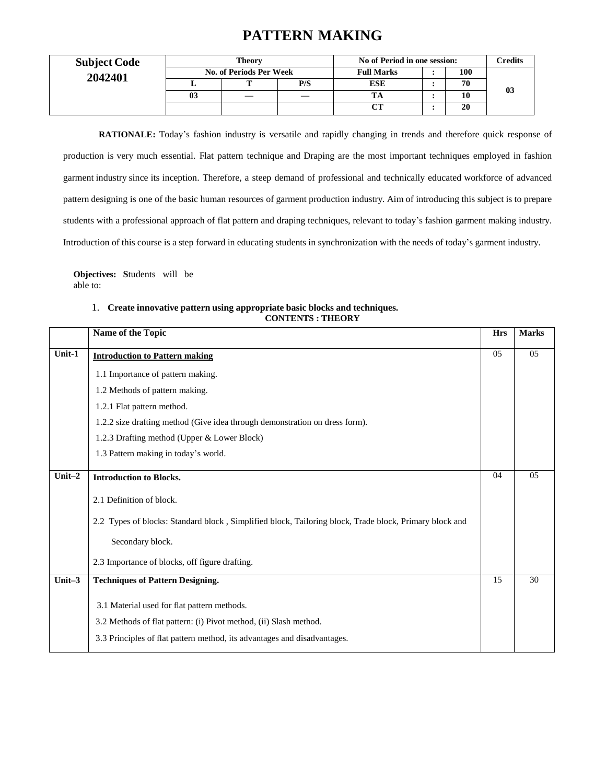## **PATTERN MAKING**

| <b>Subject Code</b> | Theory<br><b>No. of Periods Per Week</b> |  |     | No of Period in one session: | <b>Tredits</b> |    |
|---------------------|------------------------------------------|--|-----|------------------------------|----------------|----|
| 2042401             |                                          |  |     | <b>Full Marks</b>            | 100            |    |
|                     |                                          |  | P/S | <b>ESE</b>                   | 70             |    |
|                     | 03                                       |  |     | <b>TA</b>                    | 10             | 03 |
|                     |                                          |  |     |                              | 20             |    |

**RATIONALE:** Today's fashion industry is versatile and rapidly changing in trends and therefore quick response of production is very much essential. Flat pattern technique and Draping are the most important techniques employed in fashion garment industry since its inception. Therefore, a steep demand of professional and technically educated workforce of advanced pattern designing is one of the basic human resources of garment production industry. Aim of introducing this subject is to prepare students with a professional approach of flat pattern and draping techniques, relevant to today's fashion garment making industry. Introduction of this course is a step forward in educating students in synchronization with the needs of today's garment industry.

**Objectives: S**tudents will be able to:

#### 1. **Create innovative pattern using appropriate basic blocks and techniques. CONTENTS : THEORY**

|           | Name of the Topic                                                                                      | <b>Hrs</b> | <b>Marks</b> |
|-----------|--------------------------------------------------------------------------------------------------------|------------|--------------|
| Unit-1    | <b>Introduction to Pattern making</b>                                                                  | 05         | 05           |
|           | 1.1 Importance of pattern making.                                                                      |            |              |
|           | 1.2 Methods of pattern making.                                                                         |            |              |
|           | 1.2.1 Flat pattern method.                                                                             |            |              |
|           | 1.2.2 size drafting method (Give idea through demonstration on dress form).                            |            |              |
|           | 1.2.3 Drafting method (Upper & Lower Block)                                                            |            |              |
|           | 1.3 Pattern making in today's world.                                                                   |            |              |
| Unit-2    | <b>Introduction to Blocks.</b>                                                                         | 04         | 05           |
|           | 2.1 Definition of block.                                                                               |            |              |
|           | 2.2 Types of blocks: Standard block, Simplified block, Tailoring block, Trade block, Primary block and |            |              |
|           | Secondary block.                                                                                       |            |              |
|           | 2.3 Importance of blocks, off figure drafting.                                                         |            |              |
| Unit $-3$ | <b>Techniques of Pattern Designing.</b>                                                                | 15         | 30           |
|           | 3.1 Material used for flat pattern methods.                                                            |            |              |
|           | 3.2 Methods of flat pattern: (i) Pivot method, (ii) Slash method.                                      |            |              |
|           | 3.3 Principles of flat pattern method, its advantages and disadvantages.                               |            |              |
|           |                                                                                                        |            |              |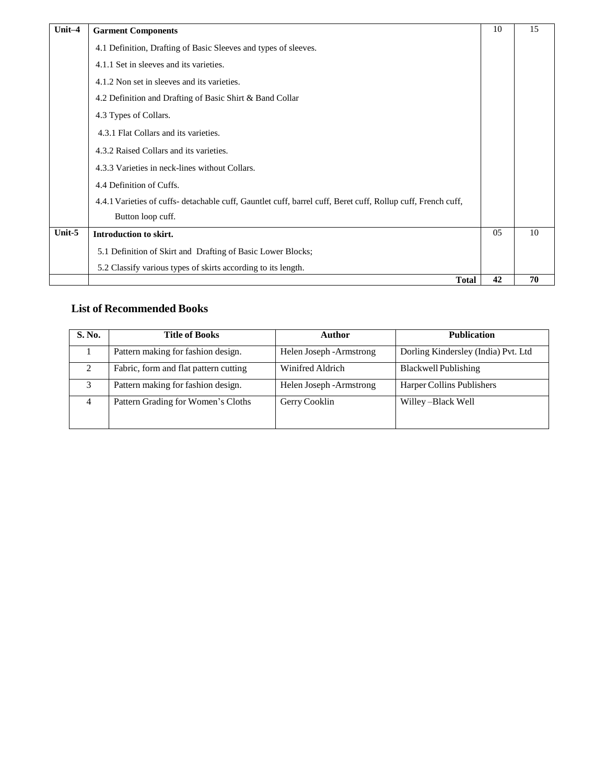| Unit-4 | <b>Garment Components</b>                                                                                    | 10  | 15 |
|--------|--------------------------------------------------------------------------------------------------------------|-----|----|
|        | 4.1 Definition, Drafting of Basic Sleeves and types of sleeves.                                              |     |    |
|        | 4.1.1 Set in sleeves and its varieties.                                                                      |     |    |
|        | 4.1.2 Non set in sleeves and its varieties.                                                                  |     |    |
|        | 4.2 Definition and Drafting of Basic Shirt & Band Collar                                                     |     |    |
|        | 4.3 Types of Collars.                                                                                        |     |    |
|        | 4.3.1 Flat Collars and its varieties.                                                                        |     |    |
|        | 4.3.2 Raised Collars and its varieties.                                                                      |     |    |
|        | 4.3.3 Varieties in neck-lines without Collars.                                                               |     |    |
|        | 4.4 Definition of Cuffs.                                                                                     |     |    |
|        | 4.4.1 Varieties of cuffs- detachable cuff, Gauntlet cuff, barrel cuff, Beret cuff, Rollup cuff, French cuff, |     |    |
|        | Button loop cuff.                                                                                            |     |    |
| Unit-5 | Introduction to skirt.                                                                                       | 0.5 | 10 |
|        | 5.1 Definition of Skirt and Drafting of Basic Lower Blocks;                                                  |     |    |
|        | 5.2 Classify various types of skirts according to its length.                                                |     |    |
|        | <b>Total</b>                                                                                                 | 42  | 70 |

### **List of Recommended Books**

| S. No. | <b>Title of Books</b>                 | Author                   | <b>Publication</b>                  |
|--------|---------------------------------------|--------------------------|-------------------------------------|
|        | Pattern making for fashion design.    | Helen Joseph - Armstrong | Dorling Kindersley (India) Pvt. Ltd |
| 2      | Fabric, form and flat pattern cutting | Winifred Aldrich         | Blackwell Publishing                |
|        | Pattern making for fashion design.    | Helen Joseph - Armstrong | Harper Collins Publishers           |
| 4      | Pattern Grading for Women's Cloths    | Gerry Cooklin            | Willey-Black Well                   |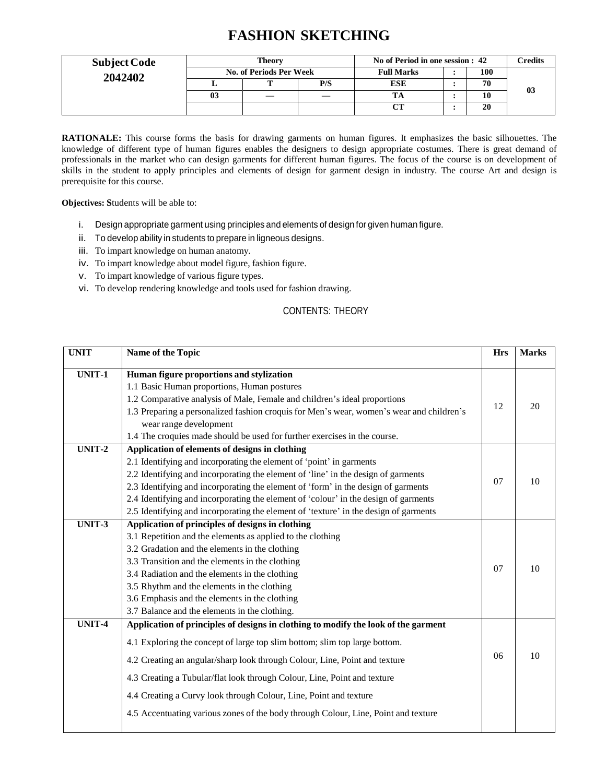## **FASHION SKETCHING**

| <b>Subject Code</b> | Theory<br>No. of Periods Per Week |  |     | No of Period in one session : 42 | Credits |    |
|---------------------|-----------------------------------|--|-----|----------------------------------|---------|----|
| 2042402             |                                   |  |     | <b>Full Marks</b>                | 100     |    |
|                     |                                   |  | P/S | <b>ESE</b>                       | 70      |    |
|                     | 03                                |  |     |                                  |         | 03 |
|                     |                                   |  |     | $\sim$                           | 20      |    |

**RATIONALE:** This course forms the basis for drawing garments on human figures. It emphasizes the basic silhouettes. The knowledge of different type of human figures enables the designers to design appropriate costumes. There is great demand of professionals in the market who can design garments for different human figures. The focus of the course is on development of skills in the student to apply principles and elements of design for garment design in industry. The course Art and design is prerequisite for this course.

**Objectives: S**tudents will be able to:

- i. Design appropriate garment using principles and elements of design for given human figure.
- ii. To develop ability in students to prepare in ligneous designs.
- iii. To impart knowledge on human anatomy.
- iv. To impart knowledge about model figure, fashion figure.
- v. To impart knowledge of various figure types.
- vi. To develop rendering knowledge and tools used for fashion drawing.

### CONTENTS: THEORY

| <b>UNIT</b> | Name of the Topic                                                                        | <b>Hrs</b> | <b>Marks</b> |
|-------------|------------------------------------------------------------------------------------------|------------|--------------|
| UNIT-1      | Human figure proportions and stylization                                                 |            |              |
|             | 1.1 Basic Human proportions, Human postures                                              |            |              |
|             | 1.2 Comparative analysis of Male, Female and children's ideal proportions                |            | 20           |
|             | 1.3 Preparing a personalized fashion croquis for Men's wear, women's wear and children's | 12         |              |
|             | wear range development                                                                   |            |              |
|             | 1.4 The croquies made should be used for further exercises in the course.                |            |              |
| UNIT-2      | Application of elements of designs in clothing                                           |            |              |
|             | 2.1 Identifying and incorporating the element of 'point' in garments                     |            |              |
|             | 2.2 Identifying and incorporating the element of 'line' in the design of garments        |            | 10           |
|             | 2.3 Identifying and incorporating the element of 'form' in the design of garments        | 07         |              |
|             | 2.4 Identifying and incorporating the element of 'colour' in the design of garments      |            |              |
|             | 2.5 Identifying and incorporating the element of 'texture' in the design of garments     |            |              |
| UNIT-3      | Application of principles of designs in clothing                                         |            |              |
|             | 3.1 Repetition and the elements as applied to the clothing                               |            |              |
|             | 3.2 Gradation and the elements in the clothing                                           |            |              |
|             | 3.3 Transition and the elements in the clothing                                          |            |              |
|             | 3.4 Radiation and the elements in the clothing                                           | 07         | 10           |
|             | 3.5 Rhythm and the elements in the clothing                                              |            |              |
|             | 3.6 Emphasis and the elements in the clothing                                            |            |              |
|             | 3.7 Balance and the elements in the clothing.                                            |            |              |
| UNIT-4      | Application of principles of designs in clothing to modify the look of the garment       |            |              |
|             | 4.1 Exploring the concept of large top slim bottom; slim top large bottom.               |            |              |
|             | 4.2 Creating an angular/sharp look through Colour, Line, Point and texture               | 06         | 10           |
|             | 4.3 Creating a Tubular/flat look through Colour, Line, Point and texture                 |            |              |
|             | 4.4 Creating a Curvy look through Colour, Line, Point and texture                        |            |              |
|             | 4.5 Accentuating various zones of the body through Colour, Line, Point and texture       |            |              |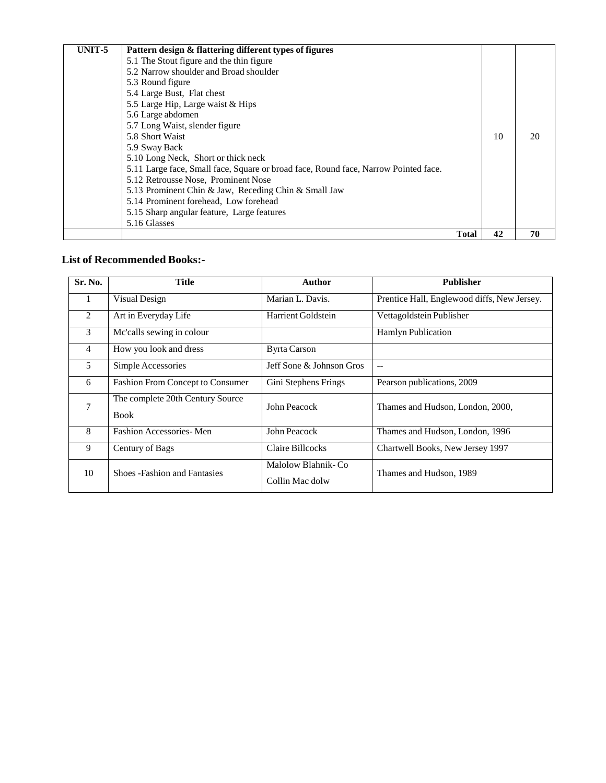| UNIT-5 | Pattern design & flattering different types of figures                              |              |    |    |  |
|--------|-------------------------------------------------------------------------------------|--------------|----|----|--|
|        | 5.1 The Stout figure and the thin figure                                            |              |    |    |  |
|        | 5.2 Narrow shoulder and Broad shoulder                                              |              |    |    |  |
|        | 5.3 Round figure                                                                    |              |    |    |  |
|        | 5.4 Large Bust, Flat chest                                                          |              |    |    |  |
|        | 5.5 Large Hip, Large waist & Hips                                                   |              |    |    |  |
|        | 5.6 Large abdomen                                                                   |              |    |    |  |
|        | 5.7 Long Waist, slender figure                                                      |              |    |    |  |
|        | 5.8 Short Waist                                                                     |              | 10 | 20 |  |
|        | 5.9 Sway Back                                                                       |              |    |    |  |
|        | 5.10 Long Neck, Short or thick neck                                                 |              |    |    |  |
|        | 5.11 Large face, Small face, Square or broad face, Round face, Narrow Pointed face. |              |    |    |  |
|        | 5.12 Retrousse Nose, Prominent Nose                                                 |              |    |    |  |
|        | 5.13 Prominent Chin & Jaw, Receding Chin & Small Jaw                                |              |    |    |  |
|        | 5.14 Prominent forehead, Low forehead                                               |              |    |    |  |
|        | 5.15 Sharp angular feature, Large features                                          |              |    |    |  |
|        | 5.16 Glasses                                                                        |              |    |    |  |
|        |                                                                                     | <b>Total</b> | 42 | 70 |  |

### **List of Recommended Books:-**

| Sr. No.        | <b>Title</b>                                    | Author                                | <b>Publisher</b>                            |
|----------------|-------------------------------------------------|---------------------------------------|---------------------------------------------|
| 1              | Visual Design                                   | Marian L. Davis.                      | Prentice Hall, Englewood diffs, New Jersey. |
| 2              | Art in Everyday Life                            | Harrient Goldstein                    | Vettagoldstein Publisher                    |
| 3              | Mc'calls sewing in colour                       |                                       | Hamlyn Publication                          |
| $\overline{4}$ | How you look and dress                          | <b>Byrta Carson</b>                   |                                             |
| 5              | Simple Accessories                              | Jeff Sone & Johnson Gros              | $-$                                         |
| 6              | <b>Fashion From Concept to Consumer</b>         | Gini Stephens Frings                  | Pearson publications, 2009                  |
| 7              | The complete 20th Century Source<br><b>Book</b> | John Peacock                          | Thames and Hudson, London, 2000,            |
| 8              | Fashion Accessories-Men                         | John Peacock                          | Thames and Hudson, London, 1996             |
| 9              | Century of Bags                                 | Claire Billcocks                      | Chartwell Books, New Jersey 1997            |
| 10             | <b>Shoes-Fashion and Fantasies</b>              | Malolow Blahnik-Co<br>Collin Mac dolw | Thames and Hudson, 1989                     |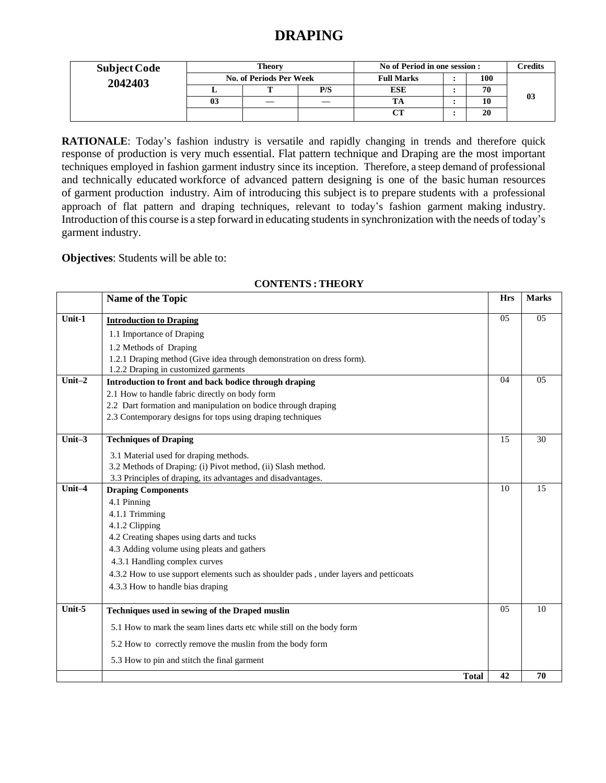## **DRAPING**

| <b>Subject Code</b> | Theory<br><b>No. of Periods Per Week</b> |   |     | No of Period in one session : | Credits |    |
|---------------------|------------------------------------------|---|-----|-------------------------------|---------|----|
| 2042403             |                                          |   |     | <b>Full Marks</b>             | 100     |    |
|                     |                                          | m | P/S | <b>ESE</b>                    | 70      |    |
|                     | 03                                       |   |     |                               | 10      | 03 |
|                     |                                          |   |     |                               | 20      |    |

**RATIONALE**: Today's fashion industry is versatile and rapidly changing in trends and therefore quick response of production is very much essential. Flat pattern technique and Draping are the most important techniques employed in fashion garment industry since its inception. Therefore, a steep demand of professional and technically educated workforce of advanced pattern designing is one of the basic human resources of garment production industry. Aim of introducing this subject is to prepare students with a professional approach of flat pattern and draping techniques, relevant to today's fashion garment making industry. Introduction of this course is a step forward in educating studentsin synchronization with the needs of today's garment industry.

**Objectives**: Students will be able to:

|           | Name of the Topic                                                                    | <b>Hrs</b> | <b>Marks</b> |
|-----------|--------------------------------------------------------------------------------------|------------|--------------|
| $Unit-1$  | <b>Introduction to Draping</b>                                                       | 05         | 05           |
|           | 1.1 Importance of Draping                                                            |            |              |
|           | 1.2 Methods of Draping                                                               |            |              |
|           | 1.2.1 Draping method (Give idea through demonstration on dress form).                |            |              |
|           | 1.2.2 Draping in customized garments                                                 |            |              |
| Unit $-2$ | Introduction to front and back bodice through draping                                | 04         | 05           |
|           | 2.1 How to handle fabric directly on body form                                       |            |              |
|           | 2.2 Dart formation and manipulation on bodice through draping                        |            |              |
|           | 2.3 Contemporary designs for tops using draping techniques                           |            |              |
| Unit $-3$ | <b>Techniques of Draping</b>                                                         | 15         | 30           |
|           | 3.1 Material used for draping methods.                                               |            |              |
|           | 3.2 Methods of Draping: (i) Pivot method, (ii) Slash method.                         |            |              |
|           | 3.3 Principles of draping, its advantages and disadvantages.                         |            |              |
| $Unit-4$  | <b>Draping Components</b>                                                            | 10         | 15           |
|           | 4.1 Pinning                                                                          |            |              |
|           | 4.1.1 Trimming                                                                       |            |              |
|           | 4.1.2 Clipping                                                                       |            |              |
|           | 4.2 Creating shapes using darts and tucks                                            |            |              |
|           | 4.3 Adding volume using pleats and gathers                                           |            |              |
|           | 4.3.1 Handling complex curves                                                        |            |              |
|           | 4.3.2 How to use support elements such as shoulder pads, under layers and petticoats |            |              |
|           | 4.3.3 How to handle bias draping                                                     |            |              |
| Unit-5    | Techniques used in sewing of the Draped muslin                                       | 05         | 10           |
|           | 5.1 How to mark the seam lines darts etc while still on the body form                |            |              |
|           | 5.2 How to correctly remove the muslin from the body form                            |            |              |
|           | 5.3 How to pin and stitch the final garment                                          |            |              |
|           | <b>Total</b>                                                                         | 42         | 70           |

### **CONTENTS : THEORY**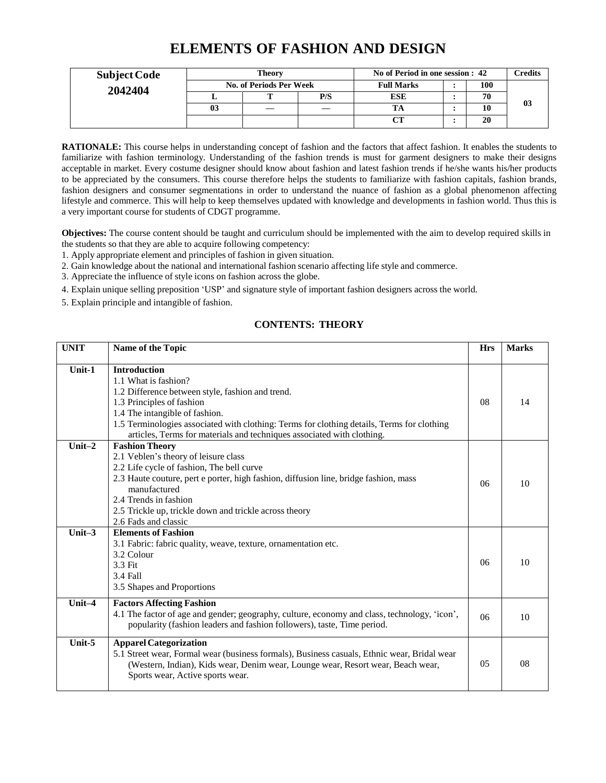## **ELEMENTS OF FASHION AND DESIGN**

|         | Theory<br><b>Subject Code</b><br><b>No. of Periods Per Week</b> |  |     | No of Period in one session : 42 |  |     | Credits |
|---------|-----------------------------------------------------------------|--|-----|----------------------------------|--|-----|---------|
| 2042404 |                                                                 |  |     | <b>Full Marks</b>                |  | 100 |         |
|         |                                                                 |  | P/S | ESE                              |  | 70  |         |
|         | 03                                                              |  |     |                                  |  |     | 03      |
|         |                                                                 |  |     | $\sim$                           |  | 20  |         |

**RATIONALE:** This course helps in understanding concept of fashion and the factors that affect fashion. It enables the students to familiarize with fashion terminology. Understanding of the fashion trends is must for garment designers to make their designs acceptable in market. Every costume designer should know about fashion and latest fashion trends if he/she wants his/her products to be appreciated by the consumers. This course therefore helps the students to familiarize with fashion capitals, fashion brands, fashion designers and consumer segmentations in order to understand the nuance of fashion as a global phenomenon affecting lifestyle and commerce. This will help to keep themselves updated with knowledge and developments in fashion world. Thus this is a very important course for students of CDGT programme.

**Objectives:** The course content should be taught and curriculum should be implemented with the aim to develop required skills in the students so that they are able to acquire following competency:

- 1. Apply appropriate element and principles of fashion in given situation.
- 2. Gain knowledge about the national and international fashion scenario affecting life style and commerce.
- 3. Appreciate the influence of style icons on fashion across the globe.
- 4. Explain unique selling preposition 'USP' and signature style of important fashion designers across the world.
- 5. Explain principle and intangible of fashion.

### **CONTENTS: THEORY**

| <b>UNIT</b> | Name of the Topic                                                                            | <b>Hrs</b>     | <b>Marks</b> |
|-------------|----------------------------------------------------------------------------------------------|----------------|--------------|
| $Unit-1$    | <b>Introduction</b>                                                                          |                |              |
|             | 1.1 What is fashion?                                                                         |                |              |
|             | 1.2 Difference between style, fashion and trend.                                             |                |              |
|             | 1.3 Principles of fashion                                                                    | 08             | 14           |
|             | 1.4 The intangible of fashion.                                                               |                |              |
|             | 1.5 Terminologies associated with clothing: Terms for clothing details, Terms for clothing   |                |              |
|             | articles, Terms for materials and techniques associated with clothing.                       |                |              |
| Unit $-2$   | <b>Fashion Theory</b>                                                                        |                |              |
|             | 2.1 Veblen's theory of leisure class                                                         |                |              |
|             | 2.2 Life cycle of fashion, The bell curve                                                    |                |              |
|             | 2.3 Haute couture, pert e porter, high fashion, diffusion line, bridge fashion, mass         |                |              |
|             | manufactured                                                                                 | 06             | 10           |
|             | 2.4 Trends in fashion                                                                        |                |              |
|             | 2.5 Trickle up, trickle down and trickle across theory                                       |                |              |
|             | 2.6 Fads and classic                                                                         |                |              |
| Unit $-3$   | <b>Elements of Fashion</b>                                                                   |                |              |
|             | 3.1 Fabric: fabric quality, weave, texture, ornamentation etc.                               |                |              |
|             | 3.2 Colour                                                                                   |                |              |
|             | 3.3 Fit                                                                                      | 06             | 10           |
|             | 3.4 Fall                                                                                     |                |              |
|             | 3.5 Shapes and Proportions                                                                   |                |              |
|             |                                                                                              |                |              |
| Unit $-4$   | <b>Factors Affecting Fashion</b>                                                             |                |              |
|             | 4.1 The factor of age and gender; geography, culture, economy and class, technology, 'icon', | 06             | 10           |
|             | popularity (fashion leaders and fashion followers), taste, Time period.                      |                |              |
| Unit- $5$   | <b>Apparel Categorization</b>                                                                |                |              |
|             | 5.1 Street wear, Formal wear (business formals), Business casuals, Ethnic wear, Bridal wear  |                |              |
|             | (Western, Indian), Kids wear, Denim wear, Lounge wear, Resort wear, Beach wear,              | 0 <sub>5</sub> | 08           |
|             | Sports wear, Active sports wear.                                                             |                |              |
|             |                                                                                              |                |              |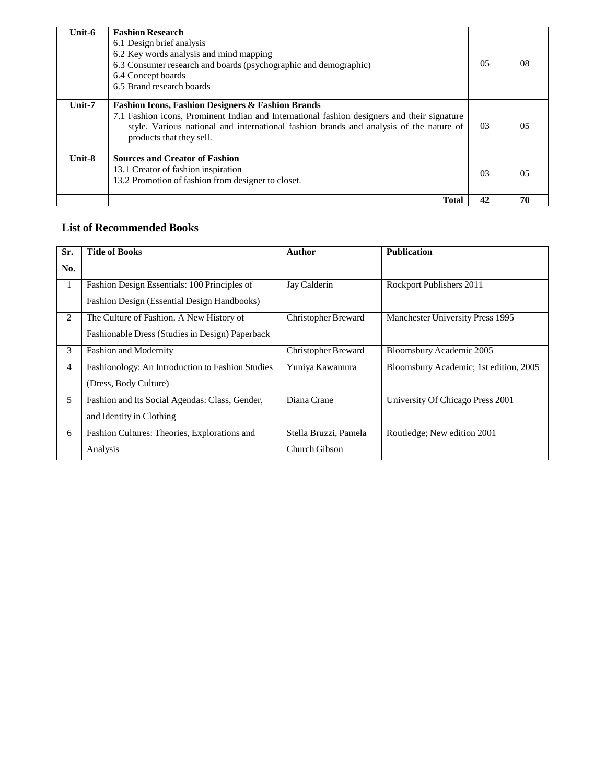| Unit-6   | <b>Fashion Research</b><br>6.1 Design brief analysis<br>6.2 Key words analysis and mind mapping<br>6.3 Consumer research and boards (psychographic and demographic)<br>6.4 Concept boards<br>6.5 Brand research boards                                                            | 05 | 08 |
|----------|-----------------------------------------------------------------------------------------------------------------------------------------------------------------------------------------------------------------------------------------------------------------------------------|----|----|
| Unit-7   | <b>Fashion Icons, Fashion Designers &amp; Fashion Brands</b><br>7.1 Fashion icons, Prominent Indian and International fashion designers and their signature<br>style. Various national and international fashion brands and analysis of the nature of<br>products that they sell. | 03 | 05 |
| $Unit-8$ | <b>Sources and Creator of Fashion</b><br>13.1 Creator of fashion inspiration<br>13.2 Promotion of fashion from designer to closet.                                                                                                                                                | 03 | 05 |
|          | <b>Total</b>                                                                                                                                                                                                                                                                      | 42 | 70 |

## **List of Recommended Books**

| Sr. | <b>Title of Books</b>                            | <b>Author</b>              | <b>Publication</b>                     |
|-----|--------------------------------------------------|----------------------------|----------------------------------------|
| No. |                                                  |                            |                                        |
| 1   | Fashion Design Essentials: 100 Principles of     | Jay Calderin               | Rockport Publishers 2011               |
|     | Fashion Design (Essential Design Handbooks)      |                            |                                        |
| 2   | The Culture of Fashion. A New History of         | <b>Christopher Breward</b> | Manchester University Press 1995       |
|     | Fashionable Dress (Studies in Design) Paperback  |                            |                                        |
| 3   | <b>Fashion and Modernity</b>                     | <b>Christopher Breward</b> | Bloomsbury Academic 2005               |
| 4   | Fashionology: An Introduction to Fashion Studies | Yuniya Kawamura            | Bloomsbury Academic; 1st edition, 2005 |
|     | (Dress, Body Culture)                            |                            |                                        |
| 5   | Fashion and Its Social Agendas: Class, Gender,   | Diana Crane                | University Of Chicago Press 2001       |
|     | and Identity in Clothing                         |                            |                                        |
| 6   | Fashion Cultures: Theories, Explorations and     | Stella Bruzzi, Pamela      | Routledge; New edition 2001            |
|     | Analysis                                         | Church Gibson              |                                        |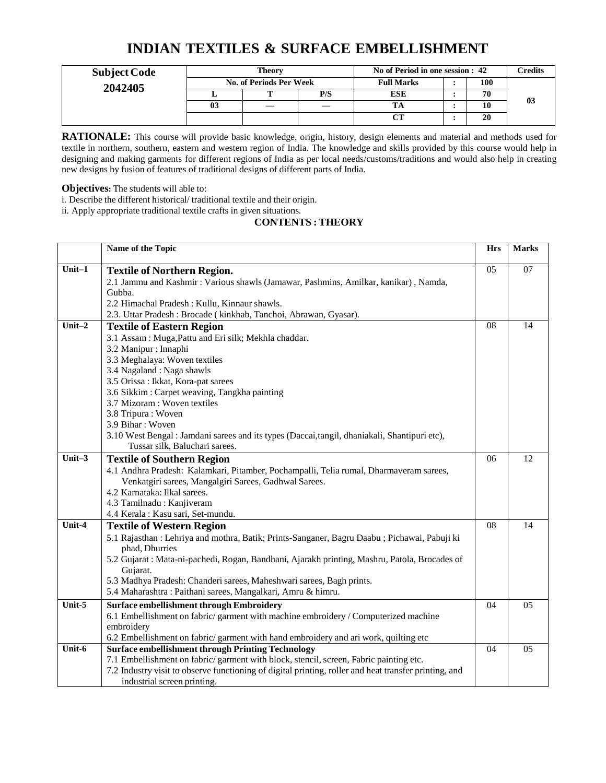## **INDIAN TEXTILES & SURFACE EMBELLISHMENT**

| <b>Subject Code</b> | <b>Theory</b>                  |  |     | No of Period in one session : 42 |  |     | Credits |
|---------------------|--------------------------------|--|-----|----------------------------------|--|-----|---------|
| 2042405             | <b>No. of Periods Per Week</b> |  |     | <b>Full Marks</b>                |  | 100 |         |
|                     |                                |  | P/S | <b>ESE</b>                       |  | 70  |         |
|                     | 03                             |  | __  |                                  |  | 10  | 03      |
|                     |                                |  |     | $\alpha$ to the set of $\alpha$  |  | 20  |         |

**RATIONALE:** This course will provide basic knowledge, origin, history, design elements and material and methods used for textile in northern, southern, eastern and western region of India. The knowledge and skills provided by this course would help in designing and making garments for different regions of India as per local needs/customs/traditions and would also help in creating new designs by fusion of features of traditional designs of different parts of India.

**Objectives:** The students will able to:

i. Describe the different historical/ traditional textile and their origin.

ii. Apply appropriate traditional textile crafts in given situations.

#### **CONTENTS : THEORY**

|           | Name of the Topic                                                                                     | <b>Hrs</b> | <b>Marks</b>    |
|-----------|-------------------------------------------------------------------------------------------------------|------------|-----------------|
| $Unit-1$  | <b>Textile of Northern Region.</b>                                                                    | 05         | $\overline{07}$ |
|           | 2.1 Jammu and Kashmir: Various shawls (Jamawar, Pashmins, Amilkar, kanikar), Namda,                   |            |                 |
|           | Gubba.                                                                                                |            |                 |
|           | 2.2 Himachal Pradesh: Kullu, Kinnaur shawls.                                                          |            |                 |
|           | 2.3. Uttar Pradesh: Brocade (kinkhab, Tanchoi, Abrawan, Gyasar).                                      |            |                 |
| Unit $-2$ | <b>Textile of Eastern Region</b>                                                                      | 08         | 14              |
|           | 3.1 Assam: Muga, Pattu and Eri silk; Mekhla chaddar.                                                  |            |                 |
|           | 3.2 Manipur : Innaphi                                                                                 |            |                 |
|           | 3.3 Meghalaya: Woven textiles                                                                         |            |                 |
|           | 3.4 Nagaland: Naga shawls                                                                             |            |                 |
|           | 3.5 Orissa: Ikkat, Kora-pat sarees                                                                    |            |                 |
|           | 3.6 Sikkim: Carpet weaving, Tangkha painting                                                          |            |                 |
|           | 3.7 Mizoram: Woven textiles                                                                           |            |                 |
|           | 3.8 Tripura: Woven                                                                                    |            |                 |
|           | 3.9 Bihar: Woven                                                                                      |            |                 |
|           | 3.10 West Bengal : Jamdani sarees and its types (Daccai, tangil, dhaniakali, Shantipuri etc),         |            |                 |
|           | Tussar silk, Baluchari sarees.                                                                        |            |                 |
| Unit $-3$ | <b>Textile of Southern Region</b>                                                                     | 06         | 12              |
|           | 4.1 Andhra Pradesh: Kalamkari, Pitamber, Pochampalli, Telia rumal, Dharmaveram sarees,                |            |                 |
|           | Venkatgiri sarees, Mangalgiri Sarees, Gadhwal Sarees.                                                 |            |                 |
|           | 4.2 Karnataka: Ilkal sarees.                                                                          |            |                 |
|           | 4.3 Tamilnadu : Kanjiveram                                                                            |            |                 |
|           | 4.4 Kerala : Kasu sari, Set-mundu.                                                                    |            |                 |
| Unit-4    | <b>Textile of Western Region</b>                                                                      | 08         | 14              |
|           | 5.1 Rajasthan : Lehriya and mothra, Batik; Prints-Sanganer, Bagru Daabu ; Pichawai, Pabuji ki         |            |                 |
|           | phad, Dhurries                                                                                        |            |                 |
|           | 5.2 Gujarat : Mata-ni-pachedi, Rogan, Bandhani, Ajarakh printing, Mashru, Patola, Brocades of         |            |                 |
|           | Gujarat.                                                                                              |            |                 |
|           | 5.3 Madhya Pradesh: Chanderi sarees, Maheshwari sarees, Bagh prints.                                  |            |                 |
|           | 5.4 Maharashtra: Paithani sarees, Mangalkari, Amru & himru.                                           |            |                 |
| Unit-5    | <b>Surface embellishment through Embroidery</b>                                                       | 04         | 05              |
|           | 6.1 Embellishment on fabric/garment with machine embroidery / Computerized machine                    |            |                 |
|           | embroidery                                                                                            |            |                 |
|           | 6.2 Embellishment on fabric/ garment with hand embroidery and ari work, quilting etc                  |            |                 |
| Unit-6    | <b>Surface embellishment through Printing Technology</b>                                              | 04         | 05              |
|           | 7.1 Embellishment on fabric/ garment with block, stencil, screen, Fabric painting etc.                |            |                 |
|           | 7.2 Industry visit to observe functioning of digital printing, roller and heat transfer printing, and |            |                 |
|           | industrial screen printing.                                                                           |            |                 |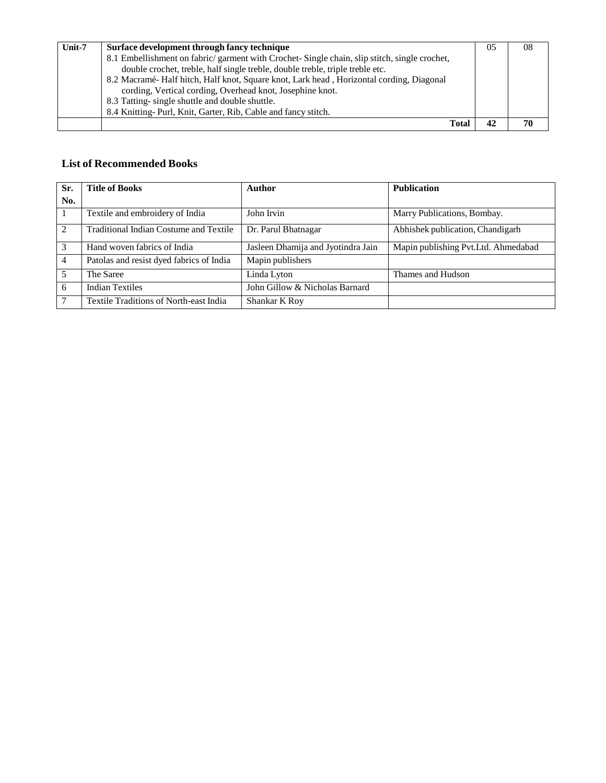| Unit-7 | Surface development through fancy technique                                                 | 05 | 08 |
|--------|---------------------------------------------------------------------------------------------|----|----|
|        | 8.1 Embellishment on fabric/garment with Crochet-Single chain, slip stitch, single crochet, |    |    |
|        | double crochet, treble, half single treble, double treble, triple treble etc.               |    |    |
|        | 8.2 Macramé Half hitch, Half knot, Square knot, Lark head, Horizontal cording, Diagonal     |    |    |
|        | cording, Vertical cording, Overhead knot, Josephine knot.                                   |    |    |
|        | 8.3 Tatting-single shuttle and double shuttle.                                              |    |    |
|        | 8.4 Knitting-Purl, Knit, Garter, Rib, Cable and fancy stitch.                               |    |    |
|        | Total                                                                                       | 42 | 70 |

### **List of Recommended Books**

| Sr.            | <b>Title of Books</b>                         | Author                             | <b>Publication</b>                  |
|----------------|-----------------------------------------------|------------------------------------|-------------------------------------|
| No.            |                                               |                                    |                                     |
|                | Textile and embroidery of India               | John Irvin                         | Marry Publications, Bombay.         |
| 2              | <b>Traditional Indian Costume and Textile</b> | Dr. Parul Bhatnagar                | Abhishek publication, Chandigarh    |
| 3              | Hand woven fabrics of India                   | Jasleen Dhamija and Jyotindra Jain | Mapin publishing Pvt.Ltd. Ahmedabad |
| $\overline{4}$ | Patolas and resist dyed fabrics of India      | Mapin publishers                   |                                     |
| .5             | The Saree                                     | Linda Lyton                        | Thames and Hudson                   |
| 6              | <b>Indian Textiles</b>                        | John Gillow & Nicholas Barnard     |                                     |
| 7              | Textile Traditions of North-east India        | Shankar K Roy                      |                                     |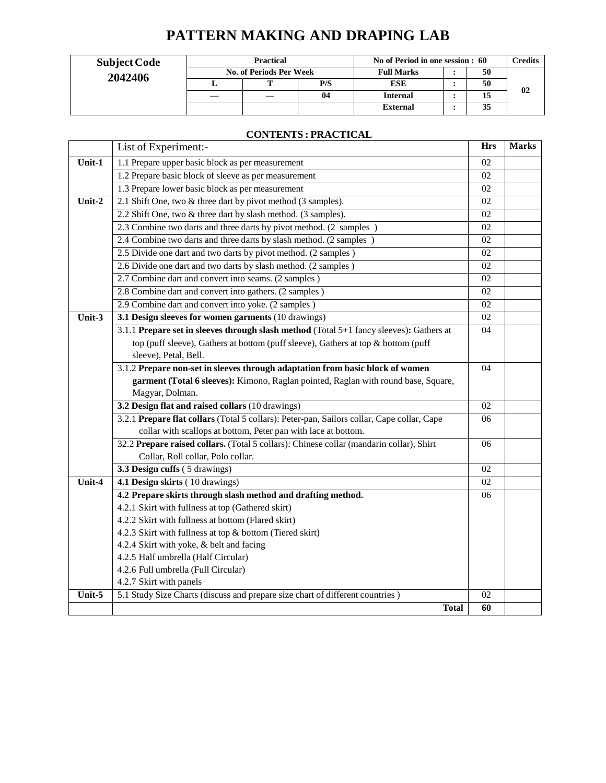# **PATTERN MAKING AND DRAPING LAB**

| <b>Subject Code</b> | <b>Practical</b>        |  |     | No of Period in one session : 60 |  |    | $\gamma$ redits |
|---------------------|-------------------------|--|-----|----------------------------------|--|----|-----------------|
| 2042406             | No. of Periods Per Week |  |     | <b>Full Marks</b>                |  | 50 |                 |
|                     |                         |  | P/S | <b>ESE</b>                       |  | 50 |                 |
|                     |                         |  | 04  | <b>Internal</b>                  |  |    | 02              |
|                     |                         |  |     | <b>External</b>                  |  | 35 |                 |

### **CONTENTS : PRACTICAL**

|                            | List of Experiment:-                                                                       | <b>Hrs</b>      | <b>Marks</b> |  |  |
|----------------------------|--------------------------------------------------------------------------------------------|-----------------|--------------|--|--|
| Unit-1                     | 1.1 Prepare upper basic block as per measurement                                           | 02              |              |  |  |
|                            | 1.2 Prepare basic block of sleeve as per measurement                                       | 02              |              |  |  |
|                            | 1.3 Prepare lower basic block as per measurement                                           | 02              |              |  |  |
| Unit- $2$                  | 2.1 Shift One, two & three dart by pivot method (3 samples).                               | 02              |              |  |  |
|                            | 2.2 Shift One, two & three dart by slash method. (3 samples).                              | $\overline{02}$ |              |  |  |
|                            | 2.3 Combine two darts and three darts by pivot method. (2 samples)                         | 02              |              |  |  |
|                            | 2.4 Combine two darts and three darts by slash method. (2 samples)                         | 02              |              |  |  |
|                            | 2.5 Divide one dart and two darts by pivot method. (2 samples)                             | 02              |              |  |  |
|                            | 2.6 Divide one dart and two darts by slash method. (2 samples)                             | 02              |              |  |  |
|                            | 2.7 Combine dart and convert into seams. (2 samples)                                       | 02              |              |  |  |
|                            | 2.8 Combine dart and convert into gathers. (2 samples)                                     | 02              |              |  |  |
|                            | 2.9 Combine dart and convert into yoke. (2 samples)                                        | 02              |              |  |  |
| $\overline{\text{Unit-3}}$ | 3.1 Design sleeves for women garments (10 drawings)                                        | 02              |              |  |  |
|                            | 3.1.1 Prepare set in sleeves through slash method (Total 5+1 fancy sleeves): Gathers at    | 04              |              |  |  |
|                            | top (puff sleeve), Gathers at bottom (puff sleeve), Gathers at top & bottom (puff          |                 |              |  |  |
|                            | sleeve), Petal, Bell.                                                                      |                 |              |  |  |
|                            | 3.1.2 Prepare non-set in sleeves through adaptation from basic block of women              |                 |              |  |  |
|                            | garment (Total 6 sleeves): Kimono, Raglan pointed, Raglan with round base, Square,         |                 |              |  |  |
|                            | Magyar, Dolman.                                                                            |                 |              |  |  |
|                            | 3.2 Design flat and raised collars (10 drawings)                                           | 02              |              |  |  |
|                            | 3.2.1 Prepare flat collars (Total 5 collars): Peter-pan, Sailors collar, Cape collar, Cape | 06              |              |  |  |
|                            | collar with scallops at bottom, Peter pan with lace at bottom.                             |                 |              |  |  |
|                            | 32.2 Prepare raised collars. (Total 5 collars): Chinese collar (mandarin collar), Shirt    | 06              |              |  |  |
|                            | Collar, Roll collar, Polo collar.                                                          |                 |              |  |  |
|                            | 3.3 Design cuffs (5 drawings)                                                              | 02              |              |  |  |
| Unit-4                     | 4.1 Design skirts (10 drawings)                                                            | 02              |              |  |  |
|                            | 4.2 Prepare skirts through slash method and drafting method.                               | 06              |              |  |  |
|                            | 4.2.1 Skirt with fullness at top (Gathered skirt)                                          |                 |              |  |  |
|                            | 4.2.2 Skirt with fullness at bottom (Flared skirt)                                         |                 |              |  |  |
|                            | 4.2.3 Skirt with fullness at top & bottom (Tiered skirt)                                   |                 |              |  |  |
|                            | 4.2.4 Skirt with yoke, & belt and facing                                                   |                 |              |  |  |
|                            | 4.2.5 Half umbrella (Half Circular)                                                        |                 |              |  |  |
|                            | 4.2.6 Full umbrella (Full Circular)                                                        |                 |              |  |  |
|                            | 4.2.7 Skirt with panels                                                                    |                 |              |  |  |
| Unit-5                     | 5.1 Study Size Charts (discuss and prepare size chart of different countries)              | 02              |              |  |  |
|                            | <b>Total</b>                                                                               | 60              |              |  |  |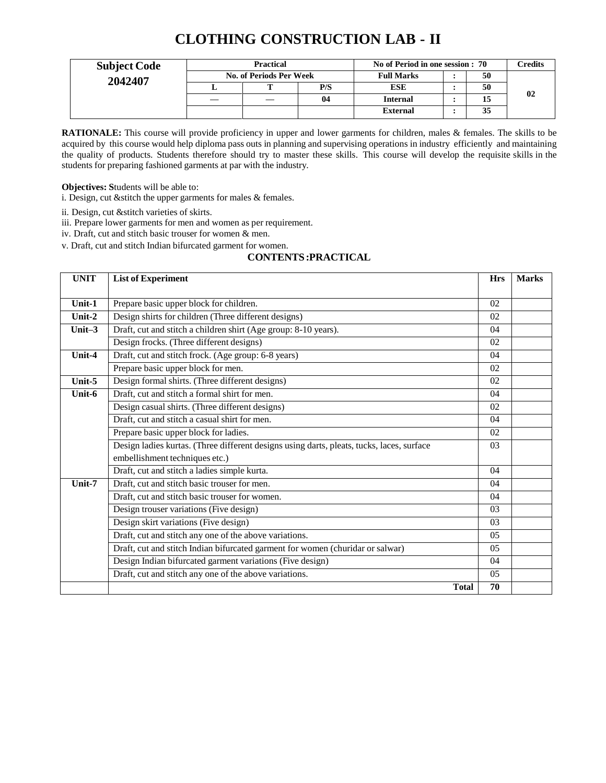## **CLOTHING CONSTRUCTION LAB - II**

| <b>Subject Code</b> | <b>Practical</b>        |  |     | No of Period in one session: 70 |  |    | C <b>redits</b> |
|---------------------|-------------------------|--|-----|---------------------------------|--|----|-----------------|
| 2042407             | No. of Periods Per Week |  |     | <b>Full Marks</b>               |  | 50 |                 |
|                     |                         |  | P/S | <b>ESE</b>                      |  | 50 |                 |
|                     | —                       |  | 04  | <b>Internal</b>                 |  | 15 | 02              |
|                     |                         |  |     | <b>External</b>                 |  | 35 |                 |

**RATIONALE:** This course will provide proficiency in upper and lower garments for children, males & females. The skills to be acquired by this course would help diploma pass outs in planning and supervising operations in industry efficiently and maintaining the quality of products. Students therefore should try to master these skills. This course will develop the requisite skills in the students for preparing fashioned garments at par with the industry.

**Objectives: S**tudents will be able to:

i. Design, cut &stitch the upper garments for males & females.

ii. Design, cut &stitch varieties of skirts.

iii. Prepare lower garments for men and women as per requirement.

iv. Draft, cut and stitch basic trouser for women & men.

v. Draft, cut and stitch Indian bifurcated garment for women.

#### **CONTENTS:PRACTICAL**

| <b>UNIT</b>                | <b>List of Experiment</b>                                                                 | <b>Hrs</b>     | <b>Marks</b> |
|----------------------------|-------------------------------------------------------------------------------------------|----------------|--------------|
|                            |                                                                                           |                |              |
| Unit-1                     | Prepare basic upper block for children.                                                   | 02             |              |
| Unit-2                     | Design shirts for children (Three different designs)                                      | 02             |              |
| Unit $-3$                  | Draft, cut and stitch a children shirt (Age group: 8-10 years).                           | 04             |              |
|                            | Design frocks. (Three different designs)                                                  | 02             |              |
| Unit-4                     | Draft, cut and stitch frock. (Age group: 6-8 years)                                       | 04             |              |
|                            | Prepare basic upper block for men.                                                        | 02             |              |
| Unit-5                     | Design formal shirts. (Three different designs)                                           | 02             |              |
| Unit-6                     | Draft, cut and stitch a formal shirt for men.                                             | 04             |              |
|                            | Design casual shirts. (Three different designs)                                           | 02             |              |
|                            | Draft, cut and stitch a casual shirt for men.                                             | 04             |              |
|                            | Prepare basic upper block for ladies.                                                     | 02             |              |
|                            | Design ladies kurtas. (Three different designs using darts, pleats, tucks, laces, surface | 03             |              |
|                            | embellishment techniques etc.)                                                            |                |              |
|                            | Draft, cut and stitch a ladies simple kurta.                                              | 04             |              |
| $\overline{\text{Unit-7}}$ | Draft, cut and stitch basic trouser for men.                                              | 04             |              |
|                            | Draft, cut and stitch basic trouser for women.                                            | 04             |              |
|                            | Design trouser variations (Five design)                                                   | 03             |              |
|                            | Design skirt variations (Five design)                                                     | 03             |              |
|                            | Draft, cut and stitch any one of the above variations.                                    | 0 <sub>5</sub> |              |
|                            | Draft, cut and stitch Indian bifurcated garment for women (churidar or salwar)            | 0 <sub>5</sub> |              |
|                            | Design Indian bifurcated garment variations (Five design)                                 | 04             |              |
|                            | Draft, cut and stitch any one of the above variations.                                    | 0 <sub>5</sub> |              |
|                            | <b>Total</b>                                                                              | 70             |              |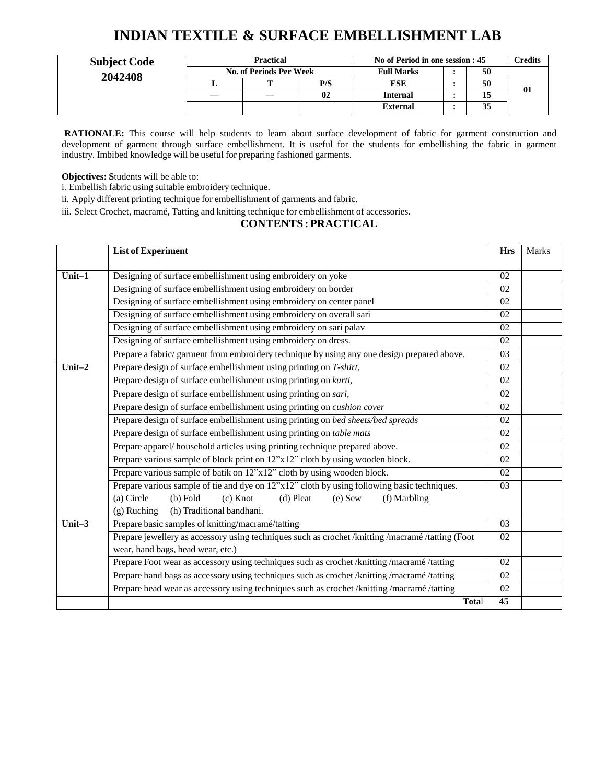## **INDIAN TEXTILE & SURFACE EMBELLISHMENT LAB**

| <b>Subject Code</b> | <b>Practical</b>        |     | No of Period in one session : 45 | <b>Predits</b> |    |
|---------------------|-------------------------|-----|----------------------------------|----------------|----|
| 2042408             | No. of Periods Per Week |     | <b>Full Marks</b>                | 50             |    |
|                     |                         | P/S | <b>ESE</b>                       | 50             |    |
|                     |                         | 02  | <b>Internal</b>                  | 15             | 01 |
|                     |                         |     | <b>External</b>                  | 35             |    |

**RATIONALE:** This course will help students to learn about surface development of fabric for garment construction and development of garment through surface embellishment. It is useful for the students for embellishing the fabric in garment industry. Imbibed knowledge will be useful for preparing fashioned garments.

**Objectives: S**tudents will be able to:

i. Embellish fabric using suitable embroidery technique.

ii. Apply different printing technique for embellishment of garments and fabric.

iii. Select Crochet, macramé, Tatting and knitting technique for embellishment of accessories.

### **CONTENTS : PRACTICAL**

|                                                                                                                                                          | <b>List of Experiment</b>                                                                                                                                    | <b>Hrs</b>      | Marks |  |  |  |
|----------------------------------------------------------------------------------------------------------------------------------------------------------|--------------------------------------------------------------------------------------------------------------------------------------------------------------|-----------------|-------|--|--|--|
|                                                                                                                                                          |                                                                                                                                                              |                 |       |  |  |  |
| Unit-1                                                                                                                                                   | Designing of surface embellishment using embroidery on yoke                                                                                                  | 02              |       |  |  |  |
|                                                                                                                                                          | Designing of surface embellishment using embroidery on border                                                                                                | 02              |       |  |  |  |
|                                                                                                                                                          | Designing of surface embellishment using embroidery on center panel                                                                                          | 02              |       |  |  |  |
|                                                                                                                                                          | Designing of surface embellishment using embroidery on overall sari                                                                                          | 02              |       |  |  |  |
|                                                                                                                                                          | Designing of surface embellishment using embroidery on sari palav                                                                                            | 02              |       |  |  |  |
|                                                                                                                                                          | Designing of surface embellishment using embroidery on dress.                                                                                                |                 |       |  |  |  |
|                                                                                                                                                          | Prepare a fabric/garment from embroidery technique by using any one design prepared above.                                                                   |                 |       |  |  |  |
| Unit $-2$                                                                                                                                                | Prepare design of surface embellishment using printing on T-shirt,                                                                                           | 02              |       |  |  |  |
|                                                                                                                                                          | Prepare design of surface embellishment using printing on kurti,                                                                                             | $\overline{02}$ |       |  |  |  |
|                                                                                                                                                          | Prepare design of surface embellishment using printing on sari,                                                                                              | 02              |       |  |  |  |
|                                                                                                                                                          | Prepare design of surface embellishment using printing on cushion cover                                                                                      | 02              |       |  |  |  |
| Prepare design of surface embellishment using printing on bed sheets/bed spreads<br>Prepare design of surface embellishment using printing on table mats |                                                                                                                                                              | 02              |       |  |  |  |
|                                                                                                                                                          | 02                                                                                                                                                           |                 |       |  |  |  |
|                                                                                                                                                          | Prepare apparel/household articles using printing technique prepared above.<br>Prepare various sample of block print on 12"x12" cloth by using wooden block. | 02              |       |  |  |  |
|                                                                                                                                                          |                                                                                                                                                              | 02              |       |  |  |  |
|                                                                                                                                                          | Prepare various sample of batik on 12"x12" cloth by using wooden block.                                                                                      | 02              |       |  |  |  |
|                                                                                                                                                          | Prepare various sample of tie and dye on 12"x12" cloth by using following basic techniques.                                                                  | 03              |       |  |  |  |
|                                                                                                                                                          | (a) Circle<br>$(b)$ Fold<br>$(c)$ Knot<br>$(d)$ Pleat<br>$(e)$ Sew<br>(f) Marbling                                                                           |                 |       |  |  |  |
|                                                                                                                                                          | (h) Traditional bandhani.<br>$(g)$ Ruching                                                                                                                   |                 |       |  |  |  |
| Unit- $3$                                                                                                                                                | Prepare basic samples of knitting/macramé/tatting                                                                                                            | 03              |       |  |  |  |
|                                                                                                                                                          | Prepare jewellery as accessory using techniques such as crochet /knitting /macramé /tatting (Foot                                                            | 02              |       |  |  |  |
|                                                                                                                                                          | wear, hand bags, head wear, etc.)                                                                                                                            |                 |       |  |  |  |
|                                                                                                                                                          | Prepare Foot wear as accessory using techniques such as crochet /knitting /macramé /tatting                                                                  | 02              |       |  |  |  |
|                                                                                                                                                          | Prepare hand bags as accessory using techniques such as crochet /knitting /macramé /tatting                                                                  | 02              |       |  |  |  |
|                                                                                                                                                          | Prepare head wear as accessory using techniques such as crochet /knitting /macramé /tatting                                                                  | 02              |       |  |  |  |
|                                                                                                                                                          | Total                                                                                                                                                        | 45              |       |  |  |  |
|                                                                                                                                                          |                                                                                                                                                              |                 |       |  |  |  |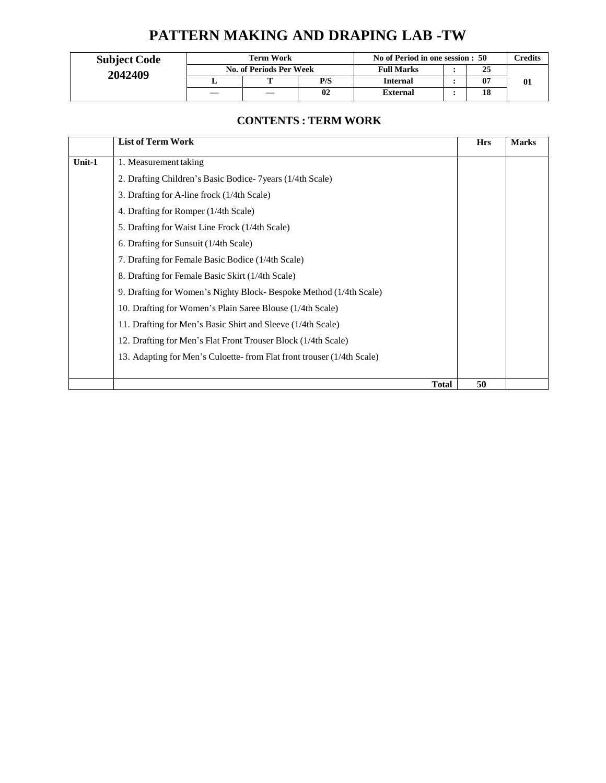# **PATTERN MAKING AND DRAPING LAB -TW**

| <b>Subject Code</b> |   | <b>Term Work</b>        |     | No of Period in one session : 50<br><b>Full Marks</b><br>25 |  |  | `redits |
|---------------------|---|-------------------------|-----|-------------------------------------------------------------|--|--|---------|
| 2042409             |   | No. of Periods Per Week |     |                                                             |  |  |         |
|                     | ∸ | m                       | P/S | <b>Internal</b>                                             |  |  |         |
|                     |   |                         | 02  | <b>External</b>                                             |  |  |         |

### **CONTENTS : TERM WORK**

|        | <b>List of Term Work</b>                                              | <b>Hrs</b> | <b>Marks</b> |
|--------|-----------------------------------------------------------------------|------------|--------------|
| Unit-1 | 1. Measurement taking                                                 |            |              |
|        | 2. Drafting Children's Basic Bodice- 7 years (1/4th Scale)            |            |              |
|        | 3. Drafting for A-line frock (1/4th Scale)                            |            |              |
|        | 4. Drafting for Romper (1/4th Scale)                                  |            |              |
|        | 5. Drafting for Waist Line Frock (1/4th Scale)                        |            |              |
|        | 6. Drafting for Sunsuit (1/4th Scale)                                 |            |              |
|        | 7. Drafting for Female Basic Bodice (1/4th Scale)                     |            |              |
|        | 8. Drafting for Female Basic Skirt (1/4th Scale)                      |            |              |
|        | 9. Drafting for Women's Nighty Block-Bespoke Method (1/4th Scale)     |            |              |
|        | 10. Drafting for Women's Plain Saree Blouse (1/4th Scale)             |            |              |
|        | 11. Drafting for Men's Basic Shirt and Sleeve (1/4th Scale)           |            |              |
|        | 12. Drafting for Men's Flat Front Trouser Block (1/4th Scale)         |            |              |
|        | 13. Adapting for Men's Culoette-from Flat front trouser (1/4th Scale) |            |              |
|        |                                                                       |            |              |
|        | <b>Total</b>                                                          | 50         |              |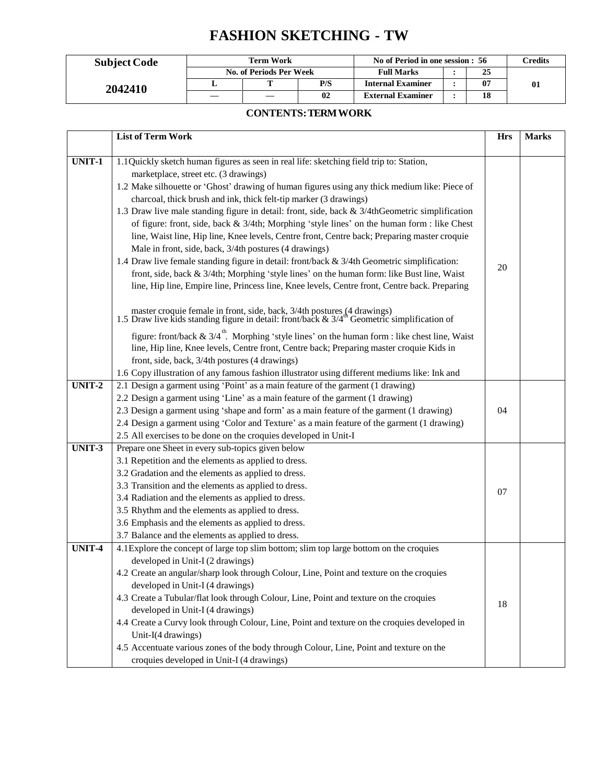# **FASHION SKETCHING - TW**

| <b>Subject Code</b> | <b>Term Work</b> |                         |     | No of Period in one session : 56 |  |    | Credits      |
|---------------------|------------------|-------------------------|-----|----------------------------------|--|----|--------------|
|                     |                  | No. of Periods Per Week |     | <b>Full Marks</b>                |  | 25 |              |
| 2042410             |                  |                         | P/S | <b>Internal Examiner</b>         |  | 07 | $\mathbf{0}$ |
|                     |                  |                         | 02  | <b>External Examiner</b>         |  |    |              |

#### **CONTENTS: TERM WORK**

|               | <b>List of Term Work</b>                                                                                                                                                               | <b>Hrs</b> | <b>Marks</b> |
|---------------|----------------------------------------------------------------------------------------------------------------------------------------------------------------------------------------|------------|--------------|
|               |                                                                                                                                                                                        |            |              |
| <b>UNIT-1</b> | 1.1 Quickly sketch human figures as seen in real life: sketching field trip to: Station,                                                                                               |            |              |
|               | marketplace, street etc. (3 drawings)                                                                                                                                                  |            |              |
|               | 1.2 Make silhouette or 'Ghost' drawing of human figures using any thick medium like: Piece of                                                                                          |            |              |
|               | charcoal, thick brush and ink, thick felt-tip marker (3 drawings)                                                                                                                      |            |              |
|               | 1.3 Draw live male standing figure in detail: front, side, back & 3/4thGeometric simplification                                                                                        |            |              |
|               | of figure: front, side, back & 3/4th; Morphing 'style lines' on the human form : like Chest                                                                                            |            |              |
|               | line, Waist line, Hip line, Knee levels, Centre front, Centre back; Preparing master croquie                                                                                           |            |              |
|               | Male in front, side, back, 3/4th postures (4 drawings)                                                                                                                                 |            |              |
|               | 1.4 Draw live female standing figure in detail: front/back & 3/4th Geometric simplification:                                                                                           | 20         |              |
|               | front, side, back & 3/4th; Morphing 'style lines' on the human form: like Bust line, Waist                                                                                             |            |              |
|               | line, Hip line, Empire line, Princess line, Knee levels, Centre front, Centre back. Preparing                                                                                          |            |              |
|               | master croquie female in front, side, back, $3/4$ th postures (4 drawings)<br>1.5 Draw live kids standing figure in detail: front/back & $3/4^{\text{th}}$ Geometric simplification of |            |              |
|               |                                                                                                                                                                                        |            |              |
|               | figure: front/back & $3/4$ <sup>th</sup> . Morphing 'style lines' on the human form : like chest line, Waist                                                                           |            |              |
|               | line, Hip line, Knee levels, Centre front, Centre back; Preparing master croquie Kids in                                                                                               |            |              |
|               | front, side, back, 3/4th postures (4 drawings)                                                                                                                                         |            |              |
|               | 1.6 Copy illustration of any famous fashion illustrator using different mediums like: Ink and                                                                                          |            |              |
| UNIT-2        | 2.1 Design a garment using 'Point' as a main feature of the garment (1 drawing)                                                                                                        |            |              |
|               | 2.2 Design a garment using 'Line' as a main feature of the garment (1 drawing)                                                                                                         |            |              |
|               | 2.3 Design a garment using 'shape and form' as a main feature of the garment (1 drawing)                                                                                               | 04         |              |
|               | 2.4 Design a garment using 'Color and Texture' as a main feature of the garment (1 drawing)                                                                                            |            |              |
|               | 2.5 All exercises to be done on the croquies developed in Unit-I                                                                                                                       |            |              |
| UNIT-3        | Prepare one Sheet in every sub-topics given below                                                                                                                                      |            |              |
|               | 3.1 Repetition and the elements as applied to dress.                                                                                                                                   |            |              |
|               | 3.2 Gradation and the elements as applied to dress.                                                                                                                                    |            |              |
|               | 3.3 Transition and the elements as applied to dress.                                                                                                                                   | 07         |              |
|               | 3.4 Radiation and the elements as applied to dress.                                                                                                                                    |            |              |
|               | 3.5 Rhythm and the elements as applied to dress.                                                                                                                                       |            |              |
|               | 3.6 Emphasis and the elements as applied to dress.<br>3.7 Balance and the elements as applied to dress.                                                                                |            |              |
| UNIT-4        | 4.1 Explore the concept of large top slim bottom; slim top large bottom on the croquies                                                                                                |            |              |
|               |                                                                                                                                                                                        |            |              |
|               | developed in Unit-I (2 drawings)<br>4.2 Create an angular/sharp look through Colour, Line, Point and texture on the croquies                                                           |            |              |
|               | developed in Unit-I (4 drawings)                                                                                                                                                       |            |              |
|               | 4.3 Create a Tubular/flat look through Colour, Line, Point and texture on the croquies                                                                                                 |            |              |
|               | developed in Unit-I (4 drawings)                                                                                                                                                       | 18         |              |
|               | 4.4 Create a Curvy look through Colour, Line, Point and texture on the croquies developed in                                                                                           |            |              |
|               |                                                                                                                                                                                        |            |              |
|               | Unit-I(4 drawings)                                                                                                                                                                     |            |              |
|               | 4.5 Accentuate various zones of the body through Colour, Line, Point and texture on the                                                                                                |            |              |
|               | croquies developed in Unit-I (4 drawings)                                                                                                                                              |            |              |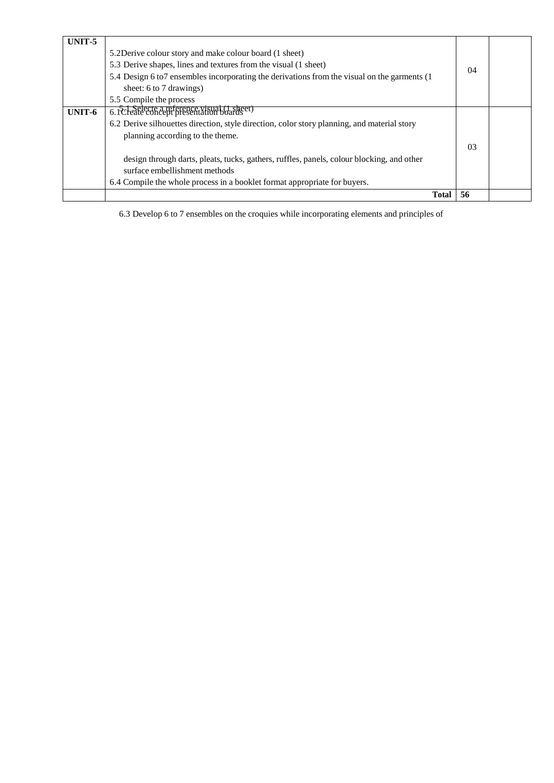| UNIT-5 | 5.2Derive colour story and make colour board (1 sheet)<br>5.3 Derive shapes, lines and textures from the visual (1 sheet)<br>5.4 Design 6 to7 ensembles incorporating the derivations from the visual on the garments (1<br>sheet: 6 to 7 drawings)<br>5.5 Compile the process | 04 |  |
|--------|--------------------------------------------------------------------------------------------------------------------------------------------------------------------------------------------------------------------------------------------------------------------------------|----|--|
| UNIT-6 | 6. PC-eatlecte a reference visual (1 sheet)                                                                                                                                                                                                                                    |    |  |
|        | 6.2 Derive silhouettes direction, style direction, color story planning, and material story                                                                                                                                                                                    |    |  |
|        | planning according to the theme.                                                                                                                                                                                                                                               |    |  |
|        |                                                                                                                                                                                                                                                                                | 03 |  |
|        | design through darts, pleats, tucks, gathers, ruffles, panels, colour blocking, and other                                                                                                                                                                                      |    |  |
|        | surface embellishment methods                                                                                                                                                                                                                                                  |    |  |
|        | 6.4 Compile the whole process in a booklet format appropriate for buyers.                                                                                                                                                                                                      |    |  |
|        | Total                                                                                                                                                                                                                                                                          | 56 |  |

6.3 Develop 6 to 7 ensembles on the croquies while incorporating elements and principles of